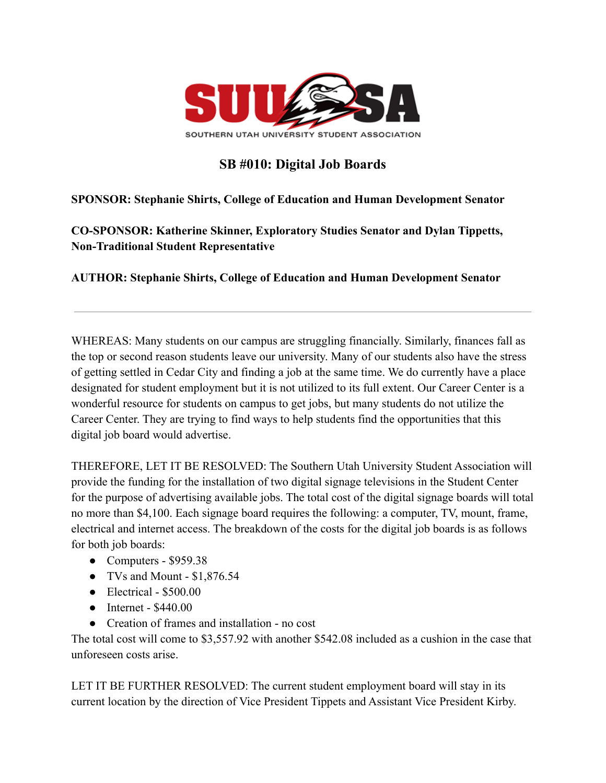

## **SB #010: Digital Job Boards**

## **SPONSOR: Stephanie Shirts, College of Education and Human Development Senator**

**CO-SPONSOR: Katherine Skinner, Exploratory Studies Senator and Dylan Tippetts, Non-Traditional Student Representative**

**AUTHOR: Stephanie Shirts, College of Education and Human Development Senator**

WHEREAS: Many students on our campus are struggling financially. Similarly, finances fall as the top or second reason students leave our university. Many of our students also have the stress of getting settled in Cedar City and finding a job at the same time. We do currently have a place designated for student employment but it is not utilized to its full extent. Our Career Center is a wonderful resource for students on campus to get jobs, but many students do not utilize the Career Center. They are trying to find ways to help students find the opportunities that this digital job board would advertise.

THEREFORE, LET IT BE RESOLVED: The Southern Utah University Student Association will provide the funding for the installation of two digital signage televisions in the Student Center for the purpose of advertising available jobs. The total cost of the digital signage boards will total no more than \$4,100. Each signage board requires the following: a computer, TV, mount, frame, electrical and internet access. The breakdown of the costs for the digital job boards is as follows for both job boards:

- Computers  $$959.38$
- TVs and Mount \$1,876.54
- $\bullet$  Electrical \$500.00
- Internet \$440.00
- Creation of frames and installation no cost

The total cost will come to \$3,557.92 with another \$542.08 included as a cushion in the case that unforeseen costs arise.

LET IT BE FURTHER RESOLVED: The current student employment board will stay in its current location by the direction of Vice President Tippets and Assistant Vice President Kirby.